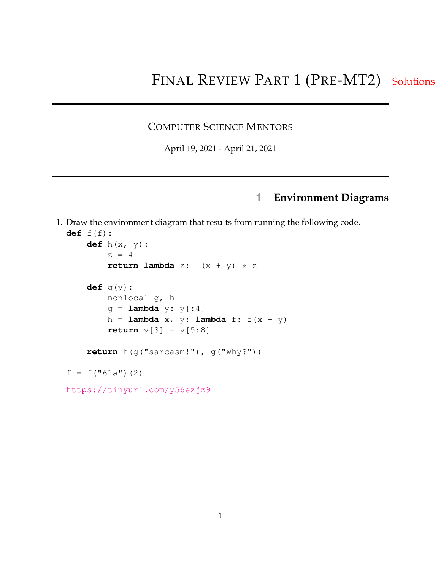#### COMPUTER SCIENCE MENTORS

April 19, 2021 - April 21, 2021

#### **1 Environment Diagrams**

```
1. Draw the environment diagram that results from running the following code.
  def f(f):
      def h(x, y):
          z = 4return lambda z: (x + y) * zdef g(y):
          nonlocal g, h
          g = lambda y: y[:4]
          h = lambda x, y: lambda f: f(x + y)return y[3] + y[5:8]return h(g("sarcasm!"), g("why?"))
  f = f("61a") (2)
 https://tinyurl.com/y56ezjz9
```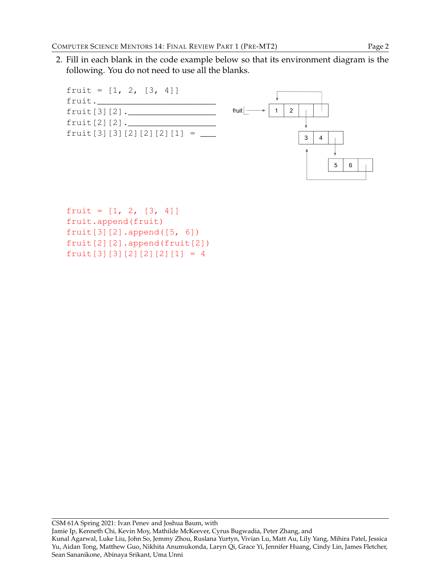2. Fill in each blank in the code example below so that its environment diagram is the following. You do not need to use all the blanks.



```
fruit = [1, 2, [3, 4]]fruit.append(fruit)
fruit[3][2].append([5, 6])
fruit[2][2].append(fruit[2])
fruit[3][3][2][2][2][1] = 4
```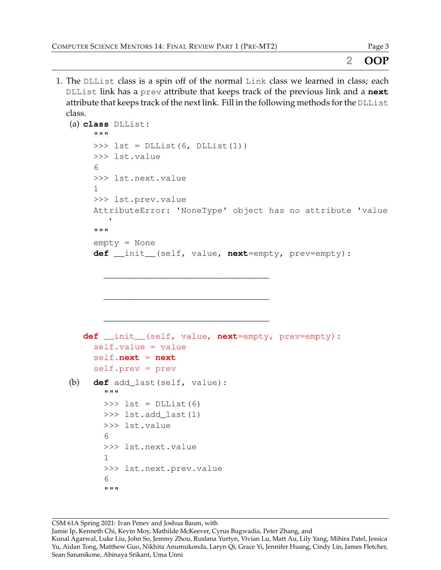### **2 OOP**

1. The DLList class is a spin off of the normal Link class we learned in class; each DLList link has a prev attribute that keeps track of the previous link and a **next** attribute that keeps track of the next link. Fill in the following methods for the DLList class.

```
(a) class DLList:
     """
     \gg lst = DLList(6, DLList(1))
     >>> lst.value
     6
     >>> lst.next.value
     1
     >>> lst.prev.value
     AttributeError: 'NoneType' object has no attribute 'value
        '"""
     empty = None
     def __init__(self, value, next=empty, prev=empty):
       ________________________________
       ________________________________
       ________________________________
  def __init__(self, value, next=empty, prev=empty):
     self.value = value
     self.next = next
     self.prev = prev
(b) def add_last(self, value):
       """
       \Rightarrow \Rightarrow \qquad lst = DLList(6)
       >>> lst.add_last(1)
       >>> lst.value
       6
       >>> lst.next.value
       1
       >>> lst.next.prev.value
       6
       """
```
CSM 61A Spring 2021: Ivan Penev and Joshua Baum, with

Jamie Ip, Kenneth Chi, Kevin Moy, Mathilde McKeever, Cyrus Bugwadia, Peter Zhang, and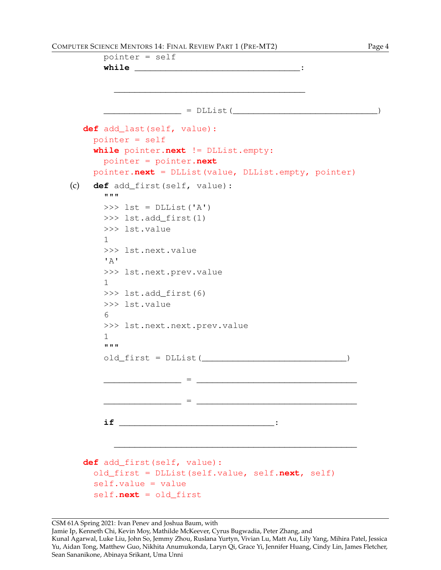COMPUTER SCIENCE MENTORS 14: FINAL REVIEW PART 1 (PRE-MT2) Page 4

pointer = self **while** \_\_\_\_\_\_\_\_\_\_\_\_\_\_\_\_\_\_\_\_\_\_\_\_\_\_\_\_\_\_\_\_\_\_: \_\_\_\_\_\_\_\_\_\_\_\_\_\_\_\_\_\_\_\_\_\_\_\_\_\_\_\_\_\_\_\_\_\_\_\_\_  $\frac{1}{2}$  = DLList( $\frac{1}{2}$ **def** add\_last(self, value): pointer = self **while** pointer.**next** != DLList.empty: pointer = pointer.**next** pointer.**next** = DLList(value, DLList.empty, pointer) (c) **def** add\_first(self, value): """  $\Rightarrow$  lst = DLList('A') >>> lst.add\_first(1) >>> lst.value 1 >>> lst.next.value  $' A'$ >>> lst.next.prev.value 1 >>> lst.add\_first(6) >>> lst.value 6 >>> lst.next.next.prev.value 1 """ old first = DLList() \_\_\_\_\_\_\_\_\_\_\_\_\_\_\_ = \_\_\_\_\_\_\_\_\_\_\_\_\_\_\_\_\_\_\_\_\_\_\_\_\_\_\_\_\_\_\_ \_\_\_\_\_\_\_\_\_\_\_\_\_\_\_ = \_\_\_\_\_\_\_\_\_\_\_\_\_\_\_\_\_\_\_\_\_\_\_\_\_\_\_\_\_\_\_ **if** \_\_\_\_\_\_\_\_\_\_\_\_\_\_\_\_\_\_\_\_\_\_\_\_\_\_\_\_\_\_: \_\_\_\_\_\_\_\_\_\_\_\_\_\_\_\_\_\_\_\_\_\_\_\_\_\_\_\_\_\_\_\_\_\_\_\_\_\_\_\_\_\_\_\_\_\_\_ **def** add\_first(self, value): old\_first = DLList(self.value, self.**next**, self) self.value = value self.**next** = old\_first

CSM 61A Spring 2021: Ivan Penev and Joshua Baum, with

Jamie Ip, Kenneth Chi, Kevin Moy, Mathilde McKeever, Cyrus Bugwadia, Peter Zhang, and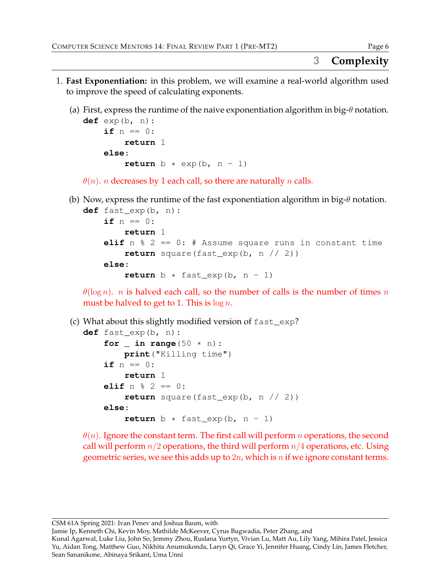# **3 Complexity**

- 1. **Fast Exponentiation:** in this problem, we will examine a real-world algorithm used to improve the speed of calculating exponents.
	- (a) First, express the runtime of the naive exponentiation algorithm in big- $\theta$  notation.

```
def exp(b, n):
    if n == 0:
        return 1
    else:
        return b * exp(b, n - 1)
```
 $\theta(n)$ . *n* decreases by 1 each call, so there are naturally *n* calls.

(b) Now, express the runtime of the fast exponentiation algorithm in big- $\theta$  notation.

```
def fast_exp(b, n):
    if n == 0:
        return 1
    elif n % 2 == 0: # Assume square runs in constant time
        return square(fast_exp(b, n // 2))
    else:
        return b * fast\_exp(b, n - 1)
```
 $\theta(\log n)$ . *n* is halved each call, so the number of calls is the number of times *n* must be halved to get to 1. This is  $\log n$ .

(c) What about this slightly modified version of fast\_exp?

```
def fast_exp(b, n):
    for \Delta in range(50 \times n):
        print("Killing time")
    if n == 0:
        return 1
    elif n % 2 == 0:
        return square(fast_exp(b, n // 2))
    else:
        return b * fast\_exp(b, n - 1)
```
 $\theta(n)$ . Ignore the constant term. The first call will perform n operations, the second call will perform  $n/2$  operations, the third will perform  $n/4$  operations, etc. Using geometric series, we see this adds up to  $2n$ , which is n if we ignore constant terms.

CSM 61A Spring 2021: Ivan Penev and Joshua Baum, with

Jamie Ip, Kenneth Chi, Kevin Moy, Mathilde McKeever, Cyrus Bugwadia, Peter Zhang, and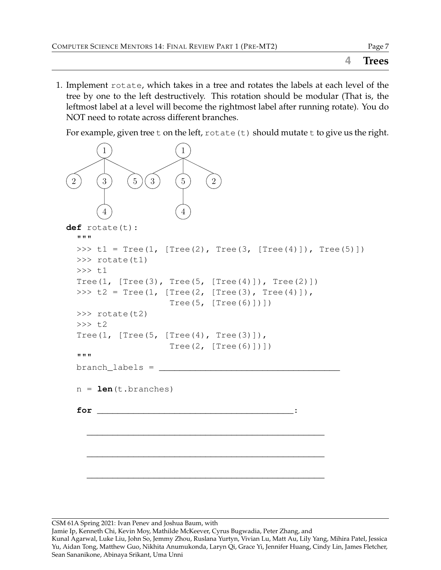1. Implement rotate, which takes in a tree and rotates the labels at each level of the tree by one to the left destructively. This rotation should be modular (That is, the leftmost label at a level will become the rightmost label after running rotate). You do NOT need to rotate across different branches.

For example, given tree t on the left,  $\text{rotate}(t)$  should mutate t to give us the right.



CSM 61A Spring 2021: Ivan Penev and Joshua Baum, with

Jamie Ip, Kenneth Chi, Kevin Moy, Mathilde McKeever, Cyrus Bugwadia, Peter Zhang, and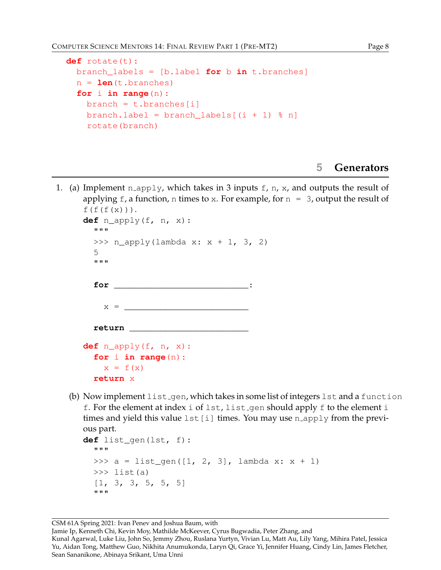```
def rotate(t):
  branch_labels = [b.label for b in t.branches]
  n = len(t.branches)for i in range(n):
    branch = t.branches[i]branch.label = branch_labels[(i + 1) % n]
    rotate(branch)
```
## **5 Generators**

1. (a) Implement n\_apply, which takes in 3 inputs  $f$ , n, x, and outputs the result of applying f, a function, n times to x. For example, for  $n = 3$ , output the result of  $f(f(f(x)))$ .

```
def n_apply(f, n, x):
  """
  >>> n_apply(lambda x: x + 1, 3, 2)
  5
  """
  for __________________________:
    x =return _______________________
def n_apply(f, n, x):
  for i in range(n):
    x = f(x)return x
```
(b) Now implement list gen, which takes in some list of integers lst and a function f. For the element at index i of lst, list gen should apply f to the element i times and yield this value  $1st[i]$  times. You may use n apply from the previous part.

```
def list_gen(lst, f):
  """
  >>> a = list_gen([1, 2, 3], lambda x: x + 1)
  \gg list(a)
  [1, 3, 3, 5, 5, 5]
  """
```

```
CSM 61A Spring 2021: Ivan Penev and Joshua Baum, with
```
Jamie Ip, Kenneth Chi, Kevin Moy, Mathilde McKeever, Cyrus Bugwadia, Peter Zhang, and

Kunal Agarwal, Luke Liu, John So, Jemmy Zhou, Ruslana Yurtyn, Vivian Lu, Matt Au, Lily Yang, Mihira Patel, Jessica Yu, Aidan Tong, Matthew Guo, Nikhita Anumukonda, Laryn Qi, Grace Yi, Jennifer Huang, Cindy Lin, James Fletcher, Sean Sananikone, Abinaya Srikant, Uma Unni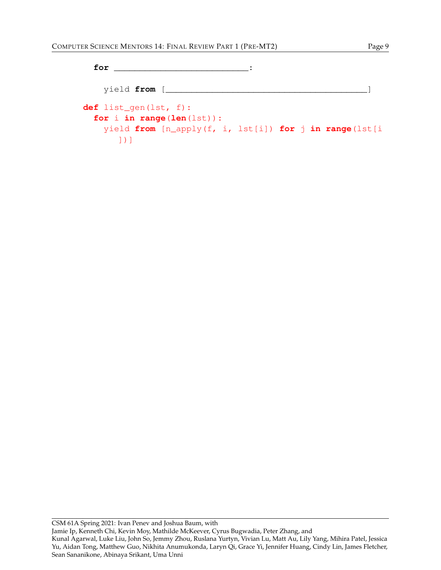**for** \_\_\_\_\_\_\_\_\_\_\_\_\_\_\_\_\_\_\_\_\_\_\_\_\_\_:

```
yield from [_______________________________________]
```
**def** list\_gen(lst, f):

```
for i in range(len(lst)):
 yield from [n_apply(f, i, lst[i]) for j in range(lst[i
    ])]
```
CSM 61A Spring 2021: Ivan Penev and Joshua Baum, with Jamie Ip, Kenneth Chi, Kevin Moy, Mathilde McKeever, Cyrus Bugwadia, Peter Zhang, and Kunal Agarwal, Luke Liu, John So, Jemmy Zhou, Ruslana Yurtyn, Vivian Lu, Matt Au, Lily Yang, Mihira Patel, Jessica Yu, Aidan Tong, Matthew Guo, Nikhita Anumukonda, Laryn Qi, Grace Yi, Jennifer Huang, Cindy Lin, James Fletcher, Sean Sananikone, Abinaya Srikant, Uma Unni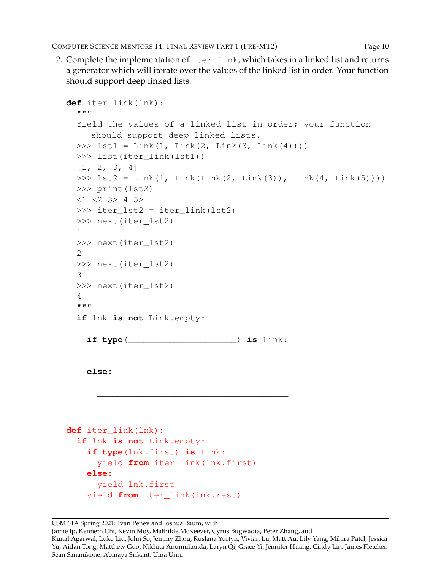2. Complete the implementation of iter\_link, which takes in a linked list and returns a generator which will iterate over the values of the linked list in order. Your function should support deep linked lists.

```
def iter_link(lnk):
  """
  Yield the values of a linked list in order; your function
     should support deep linked lists.
  \gg lst1 = Link(1, Link(2, Link(3, Link(4))))
  >>> list(iter_link(lst1))
  [1, 2, 3, 4]\Rightarrow \frac{1}{5} = Link(1, Link(Link(2, Link(3)), Link(4, Link(5)))
  >>> print(lst2)
  <1 <2 3> 4 5>
  >>> iter_lst2 = iter_link(lst2)
  >>> next(iter_lst2)
  1
  >>> next(iter_lst2)
  2
  >>> next(iter_lst2)
  3
  >>> next(iter_lst2)
  4
  """
  if lnk is not Link.empty:
    if type(_____________________) is Link:
      _____________________________________
    else:
      _____________________________________
    _______________________________________
def iter_link(lnk):
  if lnk is not Link.empty:
    if type(lnk.first) is Link:
      yield from iter_link(lnk.first)
    else:
      yield lnk.first
    yield from iter_link(lnk.rest)
```
CSM 61A Spring 2021: Ivan Penev and Joshua Baum, with

Jamie Ip, Kenneth Chi, Kevin Moy, Mathilde McKeever, Cyrus Bugwadia, Peter Zhang, and

Kunal Agarwal, Luke Liu, John So, Jemmy Zhou, Ruslana Yurtyn, Vivian Lu, Matt Au, Lily Yang, Mihira Patel, Jessica Yu, Aidan Tong, Matthew Guo, Nikhita Anumukonda, Laryn Qi, Grace Yi, Jennifer Huang, Cindy Lin, James Fletcher, Sean Sananikone, Abinaya Srikant, Uma Unni